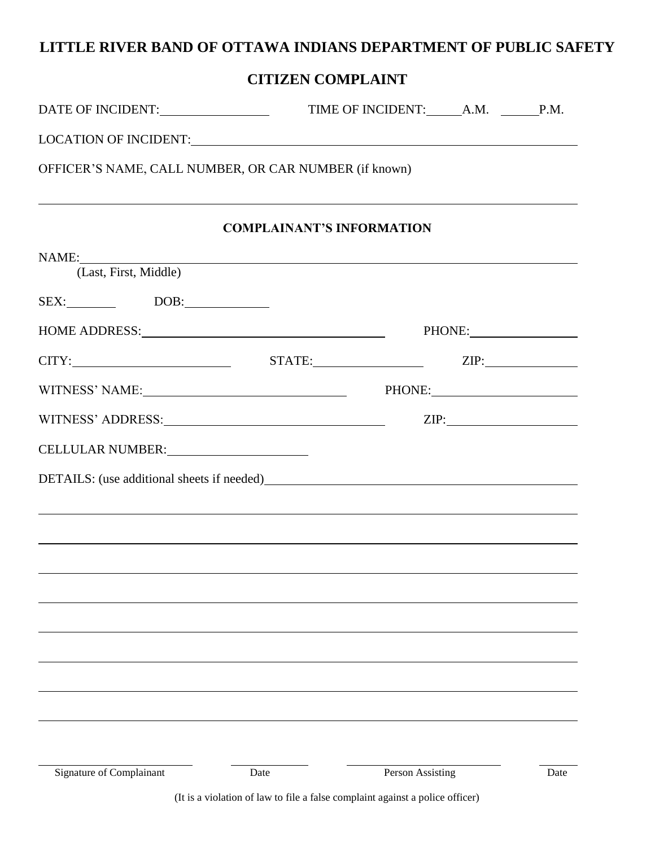## **LITTLE RIVER BAND OF OTTAWA INDIANS DEPARTMENT OF PUBLIC SAFETY**

## **CITIZEN COMPLAINT**

| DATE OF INCIDENT:                                     | TIME OF INCIDENT: A.M. P.M.      |                                                                                                                                                                                                                                |      |
|-------------------------------------------------------|----------------------------------|--------------------------------------------------------------------------------------------------------------------------------------------------------------------------------------------------------------------------------|------|
|                                                       |                                  |                                                                                                                                                                                                                                |      |
| OFFICER'S NAME, CALL NUMBER, OR CAR NUMBER (if known) |                                  |                                                                                                                                                                                                                                |      |
|                                                       | <b>COMPLAINANT'S INFORMATION</b> |                                                                                                                                                                                                                                |      |
| NAME:<br>(Last, First, Middle)                        |                                  |                                                                                                                                                                                                                                |      |
| $SEX:$ DOB:                                           |                                  |                                                                                                                                                                                                                                |      |
| HOME ADDRESS: University of the ADDRESS:              |                                  |                                                                                                                                                                                                                                |      |
|                                                       |                                  |                                                                                                                                                                                                                                |      |
|                                                       |                                  | PHONE: New York Contract Contract Contract Contract Contract Contract Contract Contract Contract Contract Contract Contract Contract Contract Contract Contract Contract Contract Contract Contract Contract Contract Contract |      |
|                                                       |                                  | ZIP:                                                                                                                                                                                                                           |      |
| CELLULAR NUMBER:                                      |                                  |                                                                                                                                                                                                                                |      |
|                                                       |                                  |                                                                                                                                                                                                                                |      |
|                                                       |                                  |                                                                                                                                                                                                                                |      |
|                                                       |                                  |                                                                                                                                                                                                                                |      |
|                                                       |                                  |                                                                                                                                                                                                                                |      |
|                                                       |                                  |                                                                                                                                                                                                                                |      |
|                                                       |                                  |                                                                                                                                                                                                                                |      |
|                                                       |                                  |                                                                                                                                                                                                                                |      |
|                                                       |                                  |                                                                                                                                                                                                                                |      |
|                                                       |                                  |                                                                                                                                                                                                                                |      |
|                                                       |                                  |                                                                                                                                                                                                                                |      |
|                                                       |                                  |                                                                                                                                                                                                                                |      |
| Signature of Complainant                              | Date                             | Person Assisting                                                                                                                                                                                                               | Date |